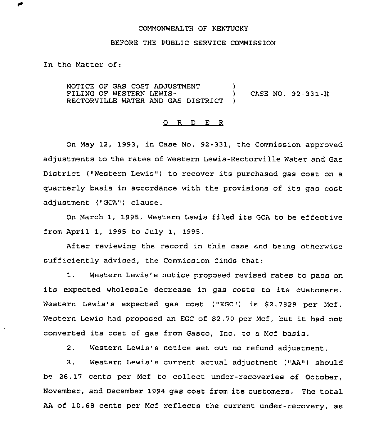### COMMONWEALTH OF KENTUCKY

## BEFORE THE PUBLIC SERVICE COMMISSION

In the Matter of:

NOTICE OF GAS COST ADJUSTMENT )<br>FILING OF WESTERN LEWIS-FILING OF WESTERN LEWIS- (CASE NO. 92-331-H) RECTORVILLE WATER AND GAS DISTRICT )

## 0 R <sup>D</sup> E <sup>R</sup>

On May 12, 1993, in Case No. 92-331, the Commission approved adjustments to the rates of Western Lewis-Rectorville Water and Gas District ("Western Lewis") to recover its purchased gas cost on a quarterly basis in accordance with the provisions of its gas cost adjustment ("GCA") clause.

On March 1, 1995, Western Lewis filed its GCA to be effective from April 1, 1995 to July 1, 1995.

After reviewing the record in this case and being otherwise sufficiently advised, the Commission finds that:

1. Western Lewis's notice proposed revised rates to pass on its expected wholesale decrease in gas costs to its customers. Western Lewis's expected gas cost ("EGC") is \$2.7829 per Mcf. Western Lewis had proposed an EGC of \$2.70 per Mcf, but it had not converted its cost of gas from Gasco, Inc. to <sup>a</sup> Mcf basis.

2, Western Lewis's notice set out no refund adjustment.

3. Western Lewis's current actual adjustment ("AA") should be 28.17 cents per Mcf to collect under-recoveries of October, November, and December 1994 gas cost from its customers. The total AA of 10.68 cents per Mcf reflects the current under-recovery, as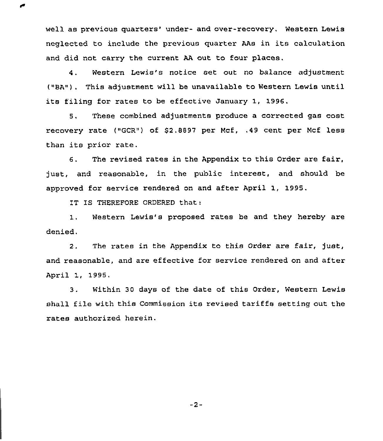well as previous quarters' under- and over-recovery. Western Lewis neglected to include the previous quarter AAs in its calculation and did not carry the current AA out to four places.

4. Western Lewis's notice set out no balance adjustment ("BA"). This adjustment will be unavailable to Western Lewis until its filing for rates to be effective January 1, 1996.

5. These combined adjustments produce a corrected gas cost recovery rate ("GCR") of \$2.8897 per Mcf, ,49 cent per Mcf less than its prior rate.

6. The revised rates in the Appendix to this Order are fair, just, and reasonable, in the public interest, and should be approved for service rendered on and after April 1, 1995,

IT IS THEREFORE ORDERED that:

1. Western Lewis's proposed rates be and they hereby are denied.

2. The rates in the Appendix to this Order are fair, just, and reasonable, and are effective for service rendered on and after April 1, 1995.

3. Within 30 days of the date of this Order, Western Lewis shall file with this Commission its revised tariffs setting out the rates authorized herein.

 $-2-$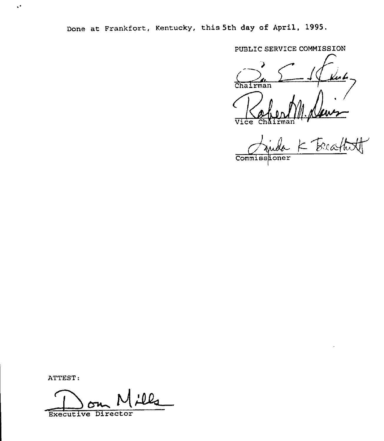Done at Frankfort, Kentucky, this 5th day of April, 1995.

PUBLIC SERVICE COMMISSION

BLIC SERVICE COMMISSION Vice ChAirman

 $-$ CommissLoner

ATTEST:

 $\sqrt{\epsilon}$ 

' O Q ~[ Executive Director